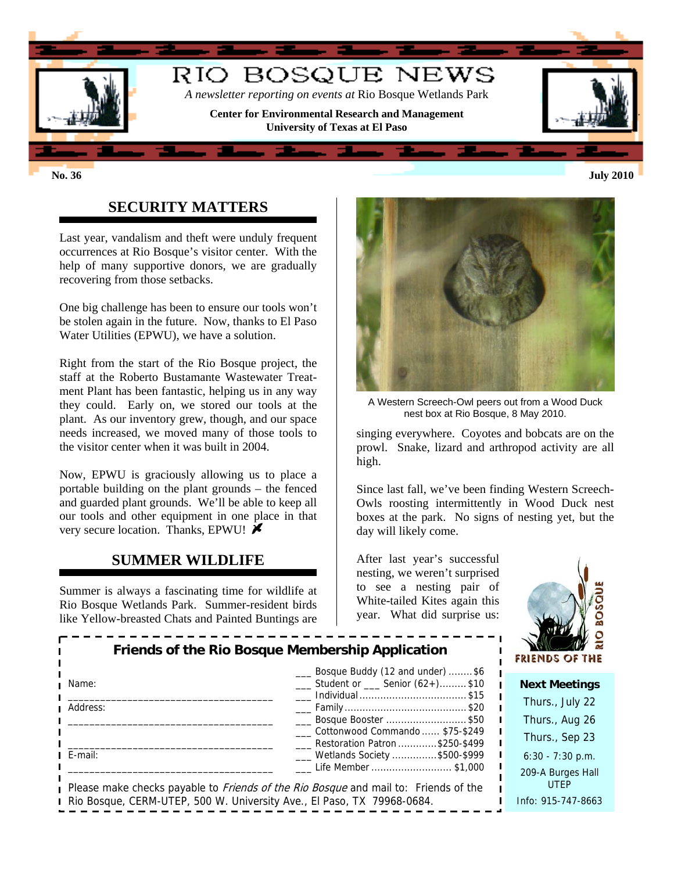

# **SECURITY MATTERS**

Last year, vandalism and theft were unduly frequent occurrences at Rio Bosque's visitor center. With the help of many supportive donors, we are gradually recovering from those setbacks.

One big challenge has been to ensure our tools won't be stolen again in the future. Now, thanks to El Paso Water Utilities (EPWU), we have a solution.

Right from the start of the Rio Bosque project, the staff at the Roberto Bustamante Wastewater Treatment Plant has been fantastic, helping us in any way they could. Early on, we stored our tools at the plant. As our inventory grew, though, and our space needs increased, we moved many of those tools to the visitor center when it was built in 2004.

Now, EPWU is graciously allowing us to place a portable building on the plant grounds – the fenced and guarded plant grounds. We'll be able to keep all our tools and other equipment in one place in that very secure location. Thanks, EPWU!

#### **SUMMER WILDLIFE**

Summer is always a fascinating time for wildlife at Rio Bosque Wetlands Park. Summer-resident birds like Yellow-breasted Chats and Painted Buntings are



A Western Screech-Owl peers out from a Wood Duck nest box at Rio Bosque, 8 May 2010.

singing everywhere. Coyotes and bobcats are on the prowl. Snake, lizard and arthropod activity are all high.

Since last fall, we've been finding Western Screech-Owls roosting intermittently in Wood Duck nest boxes at the park. No signs of nesting yet, but the day will likely come.

After last year's successful nesting, we weren't surprised to see a nesting pair of White-tailed Kites again this year. What did surprise us:



| Friends of the Rio Bosque Membership Application                       |                                                                                                                   |  | $W \sim$<br>FRIENDS OF THE       |
|------------------------------------------------------------------------|-------------------------------------------------------------------------------------------------------------------|--|----------------------------------|
| Name:                                                                  | ___ Bosque Buddy (12 and under) \$6<br>$\frac{1}{1}$ Student or $\frac{1}{1}$ Senior (62+)\$10                    |  | <b>Next Meetings</b>             |
| Address:                                                               |                                                                                                                   |  | Thurs., July 22                  |
|                                                                        | ____ Bosque Booster  \$50                                                                                         |  | Thurs., Aug 26                   |
|                                                                        | Cottonwood Commando  \$75-\$249<br>Restoration Patron \$250-\$499                                                 |  | Thurs., Sep 23                   |
| E-mail:                                                                | ___ Wetlands Society \$500-\$999                                                                                  |  | $6:30 - 7:30$ p.m.               |
|                                                                        | Life Member \$1,000<br>Please make checks payable to <i>Friends of the Rio Bosque</i> and mail to: Friends of the |  | 209-A Burges Hall<br><b>UTEP</b> |
| Rio Bosque, CERM-UTEP, 500 W. University Ave., El Paso, TX 79968-0684. |                                                                                                                   |  | Info: 915-747-8663               |